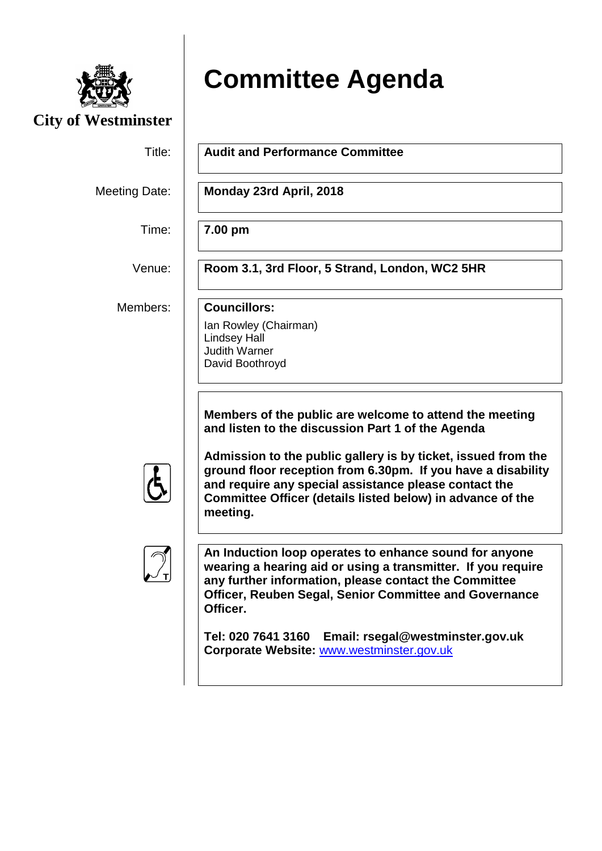

**City of Westminster**

## **Committee Agenda**

Title: **Audit and Performance Committee**

Meeting Date: **Monday 23rd April, 2018**

Time: **7.00 pm**

Venue: **Room 3.1, 3rd Floor, 5 Strand, London, WC2 5HR**

Members: **Councillors:**

Ian Rowley (Chairman) Lindsey Hall Judith Warner David Boothroyd

**Members of the public are welcome to attend the meeting and listen to the discussion Part 1 of the Agenda**

**Admission to the public gallery is by ticket, issued from the ground floor reception from 6.30pm. If you have a disability and require any special assistance please contact the Committee Officer (details listed below) in advance of the meeting.**



**An Induction loop operates to enhance sound for anyone wearing a hearing aid or using a transmitter. If you require any further information, please contact the Committee Officer, Reuben Segal, Senior Committee and Governance Officer.**

**Tel: 020 7641 3160 Email: rsegal@westminster.gov.uk Corporate Website:** [www.westminster.gov.uk](http://www.westminster.gov.uk/)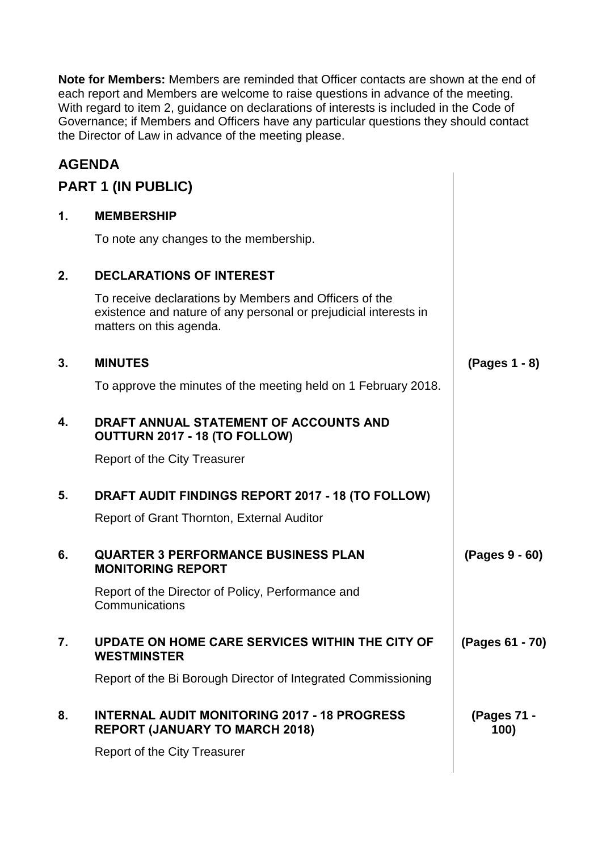**Note for Members:** Members are reminded that Officer contacts are shown at the end of each report and Members are welcome to raise questions in advance of the meeting. With regard to item 2, guidance on declarations of interests is included in the Code of Governance; if Members and Officers have any particular questions they should contact the Director of Law in advance of the meeting please.

## **AGENDA**

|    | <b>PART 1 (IN PUBLIC)</b>                                                                                                                             |                     |
|----|-------------------------------------------------------------------------------------------------------------------------------------------------------|---------------------|
| 1. | <b>MEMBERSHIP</b>                                                                                                                                     |                     |
|    | To note any changes to the membership.                                                                                                                |                     |
| 2. | <b>DECLARATIONS OF INTEREST</b>                                                                                                                       |                     |
|    | To receive declarations by Members and Officers of the<br>existence and nature of any personal or prejudicial interests in<br>matters on this agenda. |                     |
| 3. | <b>MINUTES</b>                                                                                                                                        | (Pages 1 - 8)       |
|    | To approve the minutes of the meeting held on 1 February 2018.                                                                                        |                     |
| 4. | DRAFT ANNUAL STATEMENT OF ACCOUNTS AND<br>OUTTURN 2017 - 18 (TO FOLLOW)                                                                               |                     |
|    | <b>Report of the City Treasurer</b>                                                                                                                   |                     |
| 5. | DRAFT AUDIT FINDINGS REPORT 2017 - 18 (TO FOLLOW)                                                                                                     |                     |
|    | Report of Grant Thornton, External Auditor                                                                                                            |                     |
| 6. | <b>QUARTER 3 PERFORMANCE BUSINESS PLAN</b><br><b>MONITORING REPORT</b>                                                                                | (Pages 9 - 60)      |
|    | Report of the Director of Policy, Performance and<br>Communications                                                                                   |                     |
| 7. | UPDATE ON HOME CARE SERVICES WITHIN THE CITY OF<br><b>WESTMINSTER</b>                                                                                 | (Pages 61 - 70)     |
|    | Report of the Bi Borough Director of Integrated Commissioning                                                                                         |                     |
| 8. | <b>INTERNAL AUDIT MONITORING 2017 - 18 PROGRESS</b><br><b>REPORT (JANUARY TO MARCH 2018)</b>                                                          | (Pages 71 -<br>100) |
|    | Report of the City Treasurer                                                                                                                          |                     |
|    |                                                                                                                                                       |                     |